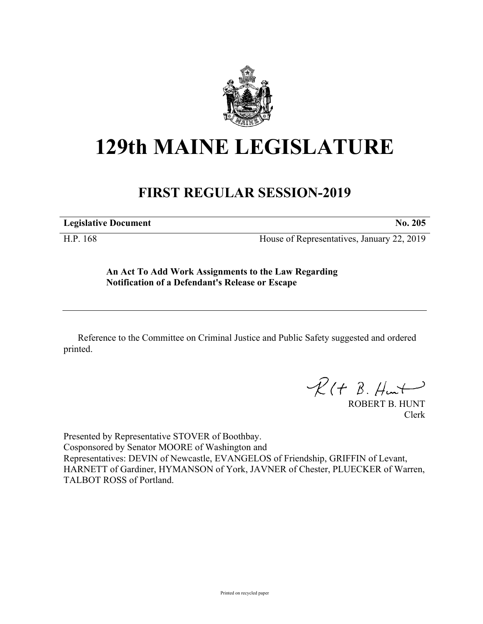

## **129th MAINE LEGISLATURE**

## **FIRST REGULAR SESSION-2019**

**Legislative Document No. 205**

H.P. 168 House of Representatives, January 22, 2019

**An Act To Add Work Assignments to the Law Regarding Notification of a Defendant's Release or Escape**

Reference to the Committee on Criminal Justice and Public Safety suggested and ordered printed.

 $R(H B. H<sub>un</sub>+)$ 

ROBERT B. HUNT Clerk

Presented by Representative STOVER of Boothbay. Cosponsored by Senator MOORE of Washington and Representatives: DEVIN of Newcastle, EVANGELOS of Friendship, GRIFFIN of Levant, HARNETT of Gardiner, HYMANSON of York, JAVNER of Chester, PLUECKER of Warren, TALBOT ROSS of Portland.